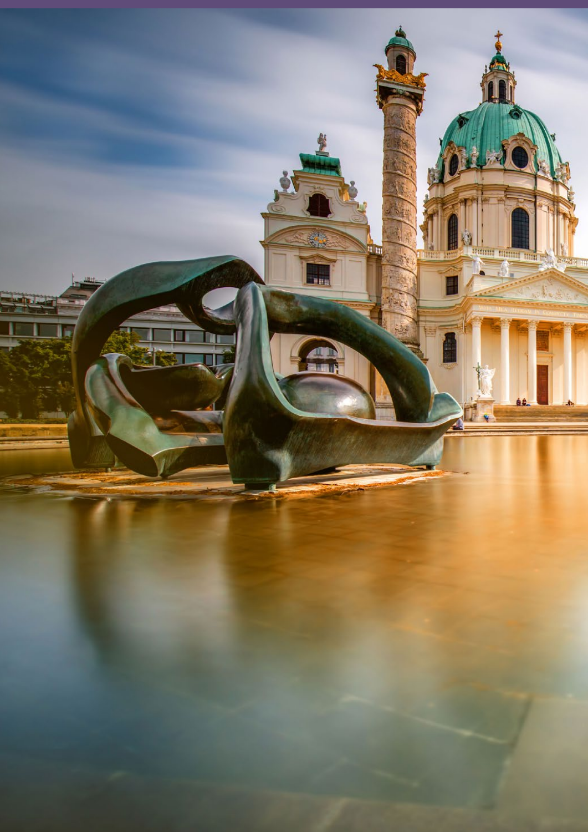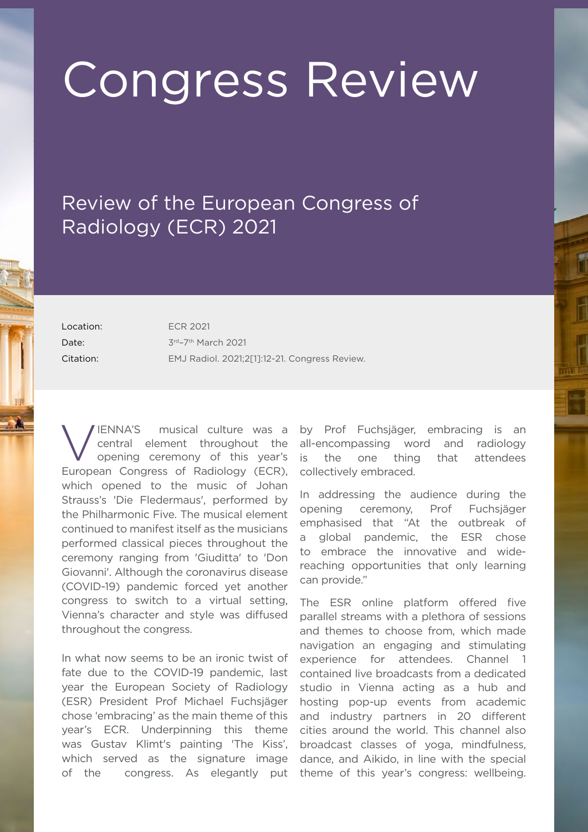# Congress Review

## Review of the European Congress of Radiology (ECR) 2021

Location: ECR 2021 Date:  $3<sup>rd</sup>-7<sup>th</sup> March 2021$ Citation: EMJ Radiol. 2021;2[1]:12-21. Congress Review.

VENNA'S musical culture was a<br>
central element throughout the<br>
opening ceremony of this year's central element throughout the opening ceremony of this year's European Congress of Radiology (ECR), which opened to the music of Johan Strauss's 'Die Fledermaus', performed by the Philharmonic Five. The musical element continued to manifest itself as the musicians performed classical pieces throughout the ceremony ranging from 'Giuditta' to 'Don Giovanni'. Although the coronavirus disease (COVID-19) pandemic forced yet another congress to switch to a virtual setting, Vienna's character and style was diffused throughout the congress.

In what now seems to be an ironic twist of fate due to the COVID-19 pandemic, last year the European Society of Radiology (ESR) President Prof Michael Fuchsjäger chose 'embracing' as the main theme of this year's ECR. Underpinning this theme was Gustav Klimt's painting 'The Kiss', which served as the signature image of the congress. As elegantly put

by Prof Fuchsjäger, embracing is an all-encompassing word and radiology is the one thing that attendees collectively embraced.

In addressing the audience during the opening ceremony, Prof Fuchsjäger emphasised that "At the outbreak of a global pandemic, the ESR chose to embrace the innovative and widereaching opportunities that only learning can provide."

The ESR online platform offered five parallel streams with a plethora of sessions and themes to choose from, which made navigation an engaging and stimulating experience for attendees. Channel 1 contained live broadcasts from a dedicated studio in Vienna acting as a hub and hosting pop-up events from academic and industry partners in 20 different cities around the world. This channel also broadcast classes of yoga, mindfulness, dance, and Aikido, in line with the special theme of this year's congress: wellbeing.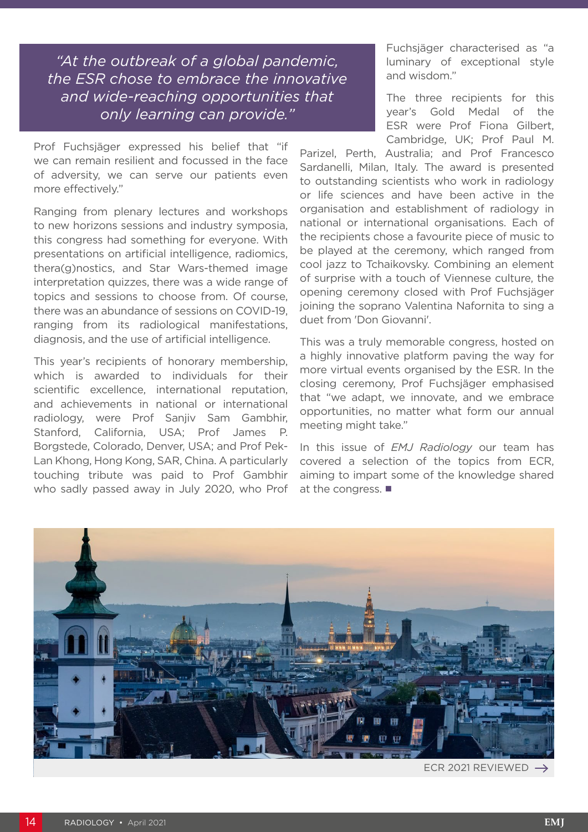*"At the outbreak of a global pandemic, the ESR chose to embrace the innovative and wide-reaching opportunities that only learning can provide."* 

Prof Fuchsjäger expressed his belief that "if we can remain resilient and focussed in the face of adversity, we can serve our patients even more effectively."

Ranging from plenary lectures and workshops to new horizons sessions and industry symposia, this congress had something for everyone. With presentations on artificial intelligence, radiomics, thera(g)nostics, and Star Wars-themed image interpretation quizzes, there was a wide range of topics and sessions to choose from. Of course, there was an abundance of sessions on COVID-19, ranging from its radiological manifestations, diagnosis, and the use of artificial intelligence.

This year's recipients of honorary membership, which is awarded to individuals for their scientific excellence, international reputation, and achievements in national or international radiology, were Prof Sanjiv Sam Gambhir, Stanford, California, USA; Prof James P. Borgstede, Colorado, Denver, USA; and Prof Pek-Lan Khong, Hong Kong, SAR, China. A particularly touching tribute was paid to Prof Gambhir who sadly passed away in July 2020, who Prof Fuchsjäger characterised as "a luminary of exceptional style and wisdom."

The three recipients for this year's Gold Medal of the ESR were Prof Fiona Gilbert, Cambridge, UK; Prof Paul M.

Parizel, Perth, Australia; and Prof Francesco Sardanelli, Milan, Italy. The award is presented to outstanding scientists who work in radiology or life sciences and have been active in the organisation and establishment of radiology in national or international organisations. Each of the recipients chose a favourite piece of music to be played at the ceremony, which ranged from cool jazz to Tchaikovsky. Combining an element of surprise with a touch of Viennese culture, the opening ceremony closed with Prof Fuchsjäger joining the soprano Valentina Nafornita to sing a duet from 'Don Giovanni'.

This was a truly memorable congress, hosted on a highly innovative platform paving the way for more virtual events organised by the ESR. In the closing ceremony, Prof Fuchsjäger emphasised that "we adapt, we innovate, and we embrace opportunities, no matter what form our annual meeting might take."

In this issue of *EMJ Radiology* our team has covered a selection of the topics from ECR, aiming to impart some of the knowledge shared at the congress. ■



ECR 2021 REVIEWED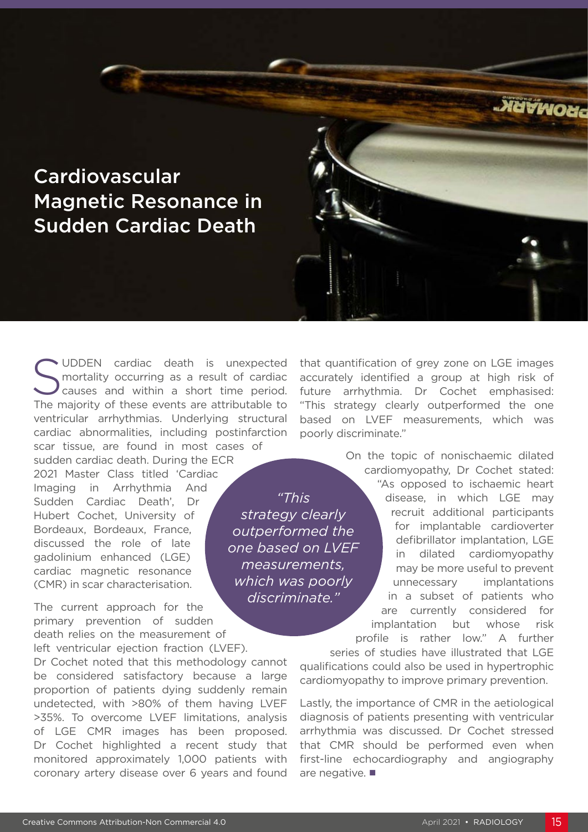# Cardiovascular Magnetic Resonance in Sudden Cardiac Death



SUDDEN cardiac death is unexpected<br>
Submortality occurring as a result of cardiac<br>
causes and within a short time period. mortality occurring as a result of cardiac The majority of these events are attributable to ventricular arrhythmias. Underlying structural cardiac abnormalities, including postinfarction scar tissue, are found in most cases of

> *"This strategy clearly outperformed the*

*measurements, which was poorly discriminate."* 

sudden cardiac death. During the ECR 2021 Master Class titled 'Cardiac Imaging in Arrhythmia And Sudden Cardiac Death', Dr Hubert Cochet, University of Bordeaux, Bordeaux, France, discussed the role of late gadolinium enhanced (LGE) cardiac magnetic resonance (CMR) in scar characterisation.

The current approach for the primary prevention of sudden death relies on the measurement of left ventricular ejection fraction (LVEF).

Dr Cochet noted that this methodology cannot be considered satisfactory because a large proportion of patients dying suddenly remain undetected, with >80% of them having LVEF >35%. To overcome LVEF limitations, analysis of LGE CMR images has been proposed. Dr Cochet highlighted a recent study that monitored approximately 1,000 patients with coronary artery disease over 6 years and found

that quantification of grey zone on LGE images accurately identified a group at high risk of future arrhythmia. Dr Cochet emphasised: "This strategy clearly outperformed the one based on LVEF measurements, which was poorly discriminate."

On the topic of nonischaemic dilated cardiomyopathy, Dr Cochet stated: "As opposed to ischaemic heart disease, in which LGE may recruit additional participants for implantable cardioverter defibrillator implantation, LGE in dilated cardiomyopathy may be more useful to prevent unnecessary implantations in a subset of patients who are currently considered for implantation but whose risk profile is rather low." A further *one based on LVEF* 

> qualifications could also be used in hypertrophic cardiomyopathy to improve primary prevention.

series of studies have illustrated that LGE

Lastly, the importance of CMR in the aetiological diagnosis of patients presenting with ventricular arrhythmia was discussed. Dr Cochet stressed that CMR should be performed even when first-line echocardiography and angiography are negative. ■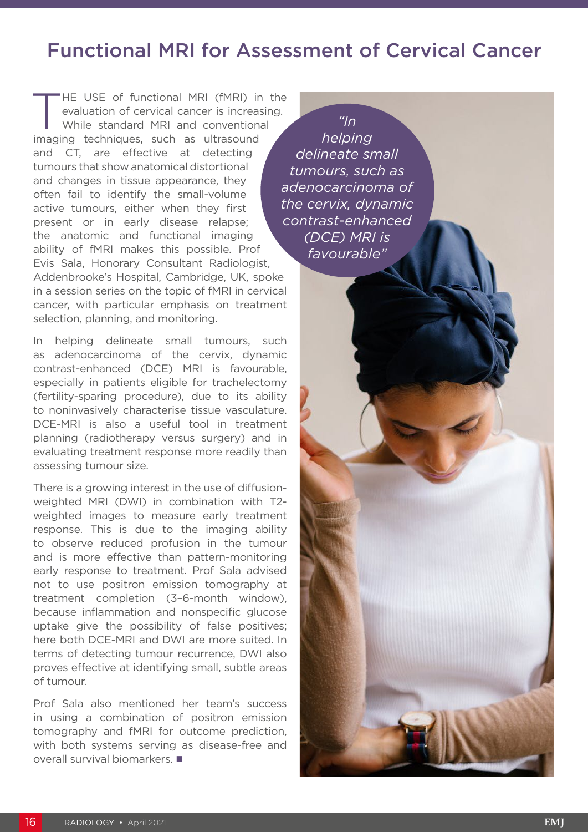#### Functional MRI for Assessment of Cervical Cancer

HE USE of functional MRI (fMRI) in the evaluation of cervical cancer is increasing. While standard MRI and conventional imaging techniques, such as ultrasound and CT, are effective at detecting tumours that show anatomical distortional and changes in tissue appearance, they often fail to identify the small-volume active tumours, either when they first present or in early disease relapse; the anatomic and functional imaging ability of fMRI makes this possible. Prof Evis Sala, Honorary Consultant Radiologist, Addenbrooke's Hospital, Cambridge, UK, spoke in a session series on the topic of fMRI in cervical cancer, with particular emphasis on treatment selection, planning, and monitoring.

In helping delineate small tumours, such as adenocarcinoma of the cervix, dynamic contrast-enhanced (DCE) MRI is favourable, especially in patients eligible for trachelectomy (fertility-sparing procedure), due to its ability to noninvasively characterise tissue vasculature. DCE-MRI is also a useful tool in treatment planning (radiotherapy versus surgery) and in evaluating treatment response more readily than assessing tumour size.

There is a growing interest in the use of diffusionweighted MRI (DWI) in combination with T2 weighted images to measure early treatment response. This is due to the imaging ability to observe reduced profusion in the tumour and is more effective than pattern-monitoring early response to treatment. Prof Sala advised not to use positron emission tomography at treatment completion (3–6-month window), because inflammation and nonspecific glucose uptake give the possibility of false positives; here both DCE-MRI and DWI are more suited. In terms of detecting tumour recurrence, DWI also proves effective at identifying small, subtle areas of tumour.

Prof Sala also mentioned her team's success in using a combination of positron emission tomography and fMRI for outcome prediction, with both systems serving as disease-free and overall survival biomarkers. ■

*"In helping delineate small tumours, such as adenocarcinoma of the cervix, dynamic contrast-enhanced (DCE) MRI is favourable"*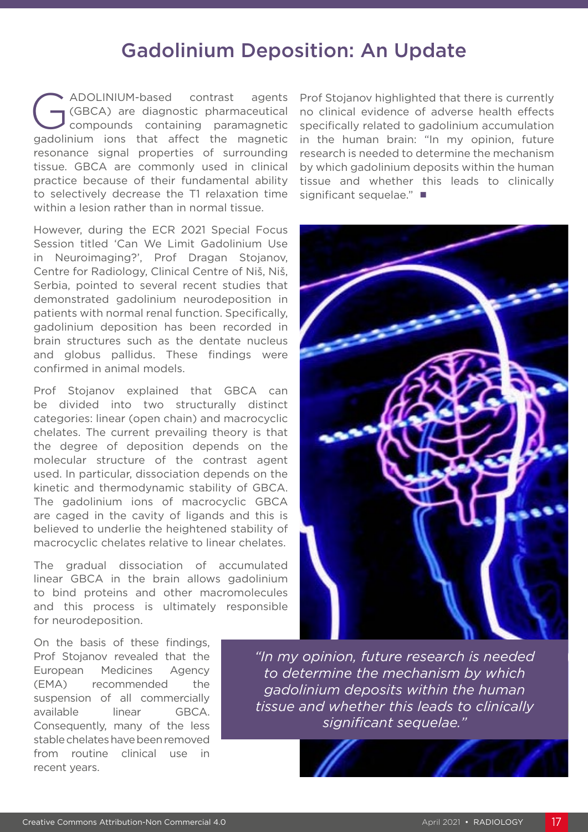#### Gadolinium Deposition: An Update

ADOLINIUM-based contrast agents<br>
GGBCA) are diagnostic pharmaceutical<br>
compounds containing paramagnetic<br>
codelinium ions that affect the magnetic (GBCA) are diagnostic pharmaceutical compounds containing paramagnetic gadolinium ions that affect the magnetic resonance signal properties of surrounding tissue. GBCA are commonly used in clinical practice because of their fundamental ability to selectively decrease the T1 relaxation time within a lesion rather than in normal tissue.

However, during the ECR 2021 Special Focus Session titled 'Can We Limit Gadolinium Use in Neuroimaging?', Prof Dragan Stojanov, Centre for Radiology, Clinical Centre of Niš, Niš, Serbia, pointed to several recent studies that demonstrated gadolinium neurodeposition in patients with normal renal function. Specifically, gadolinium deposition has been recorded in brain structures such as the dentate nucleus and globus pallidus. These findings were confirmed in animal models.

Prof Stojanov explained that GBCA can be divided into two structurally distinct categories: linear (open chain) and macrocyclic chelates. The current prevailing theory is that the degree of deposition depends on the molecular structure of the contrast agent used. In particular, dissociation depends on the kinetic and thermodynamic stability of GBCA. The gadolinium ions of macrocyclic GBCA are caged in the cavity of ligands and this is believed to underlie the heightened stability of macrocyclic chelates relative to linear chelates.

The gradual dissociation of accumulated linear GBCA in the brain allows gadolinium to bind proteins and other macromolecules and this process is ultimately responsible for neurodeposition.

On the basis of these findings, Prof Stojanov revealed that the European Medicines Agency (EMA) recommended the suspension of all commercially available linear GBCA. Consequently, many of the less stable chelates have been removed from routine clinical use in recent years.

Prof Stojanov highlighted that there is currently no clinical evidence of adverse health effects specifically related to gadolinium accumulation in the human brain: "In my opinion, future research is needed to determine the mechanism by which gadolinium deposits within the human tissue and whether this leads to clinically significant sequelae." ■



*"In my opinion, future research is needed to determine the mechanism by which gadolinium deposits within the human tissue and whether this leads to clinically significant sequelae."* 

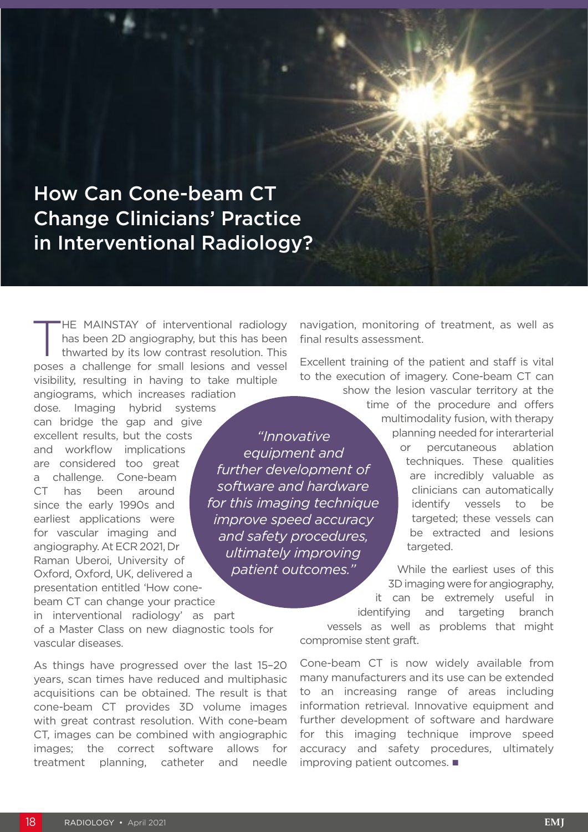# How Can Cone-beam CT Change Clinicians' Practice in Interventional Radiology?

THE MAINSTAY of interventional radiology<br>has been 2D angiography, but this has been<br>thwarted by its low contrast resolution. This has been 2D angiography, but this has been thwarted by its low contrast resolution. This poses a challenge for small lesions and vessel visibility, resulting in having to take multiple

angiograms, which increases radiation dose. Imaging hybrid systems can bridge the gap and give excellent results, but the costs and workflow implications are considered too great a challenge. Cone-beam CT has been around since the early 1990s and earliest applications were for vascular imaging and angiography. At ECR 2021, Dr Raman Uberoi, University of Oxford, Oxford, UK, delivered a presentation entitled 'How conebeam CT can change your practice

in interventional radiology' as part of a Master Class on new diagnostic tools for vascular diseases.

As things have progressed over the last 15–20 years, scan times have reduced and multiphasic acquisitions can be obtained. The result is that cone-beam CT provides 3D volume images with great contrast resolution. With cone-beam CT, images can be combined with angiographic images; the correct software allows for treatment planning, catheter and needle

navigation, monitoring of treatment, as well as final results assessment.

Excellent training of the patient and staff is vital to the execution of imagery. Cone-beam CT can

*"Innovative equipment and further development of software and hardware for this imaging technique improve speed accuracy and safety procedures, ultimately improving patient outcomes."* 

show the lesion vascular territory at the time of the procedure and offers multimodality fusion, with therapy planning needed for interarterial or percutaneous ablation techniques. These qualities are incredibly valuable as clinicians can automatically identify vessels to be targeted; these vessels can be extracted and lesions targeted.

While the earliest uses of this 3D imaging were for angiography, it can be extremely useful in identifying and targeting branch vessels as well as problems that might compromise stent graft.

Cone-beam CT is now widely available from many manufacturers and its use can be extended to an increasing range of areas including information retrieval. Innovative equipment and further development of software and hardware for this imaging technique improve speed accuracy and safety procedures, ultimately improving patient outcomes. ■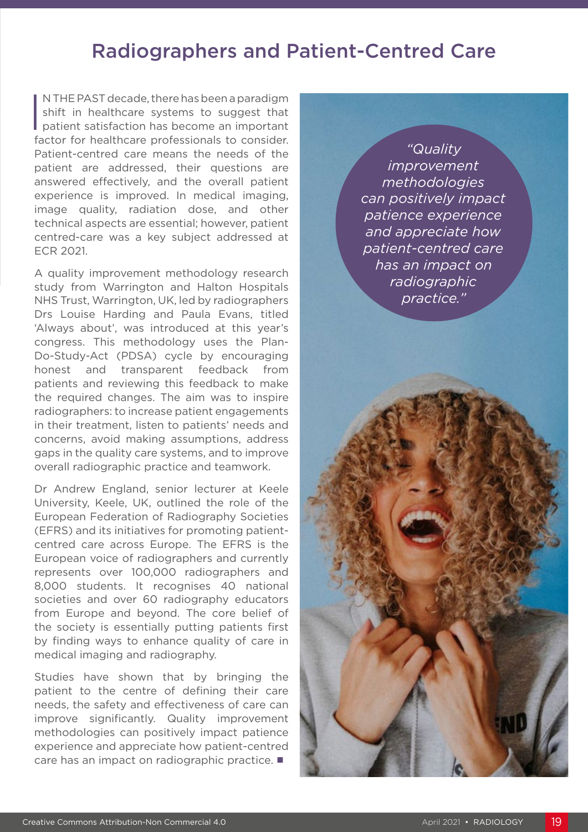#### Radiographers and Patient-Centred Care

INTHE PAST decade, there has been a paradigm<br>shift in healthcare systems to suggest that<br>patient satisfaction has become an important N THE PAST decade, there has been a paradigm shift in healthcare systems to suggest that factor for healthcare professionals to consider. Patient-centred care means the needs of the patient are addressed, their questions are answered effectively, and the overall patient experience is improved. In medical imaging, image quality, radiation dose, and other technical aspects are essential; however, patient centred-care was a key subject addressed at ECR 2021.

A quality improvement methodology research study from Warrington and Halton Hospitals NHS Trust, Warrington, UK, led by radiographers Drs Louise Harding and Paula Evans, titled 'Always about', was introduced at this year's congress. This methodology uses the Plan-Do-Study-Act (PDSA) cycle by encouraging honest and transparent feedback from patients and reviewing this feedback to make the required changes. The aim was to inspire radiographers: to increase patient engagements in their treatment, listen to patients' needs and concerns, avoid making assumptions, address gaps in the quality care systems, and to improve overall radiographic practice and teamwork.

Dr Andrew England, senior lecturer at Keele University, Keele, UK, outlined the role of the European Federation of Radiography Societies (EFRS) and its initiatives for promoting patientcentred care across Europe. The EFRS is the European voice of radiographers and currently represents over 100,000 radiographers and 8,000 students. It recognises 40 national societies and over 60 radiography educators from Europe and beyond. The core belief of the society is essentially putting patients first by finding ways to enhance quality of care in medical imaging and radiography.

Studies have shown that by bringing the patient to the centre of defining their care needs, the safety and effectiveness of care can improve significantly. Quality improvement methodologies can positively impact patience experience and appreciate how patient-centred care has an impact on radiographic practice. ■

*"Quality improvement methodologies can positively impact patience experience and appreciate how patient-centred care has an impact on radiographic practice."*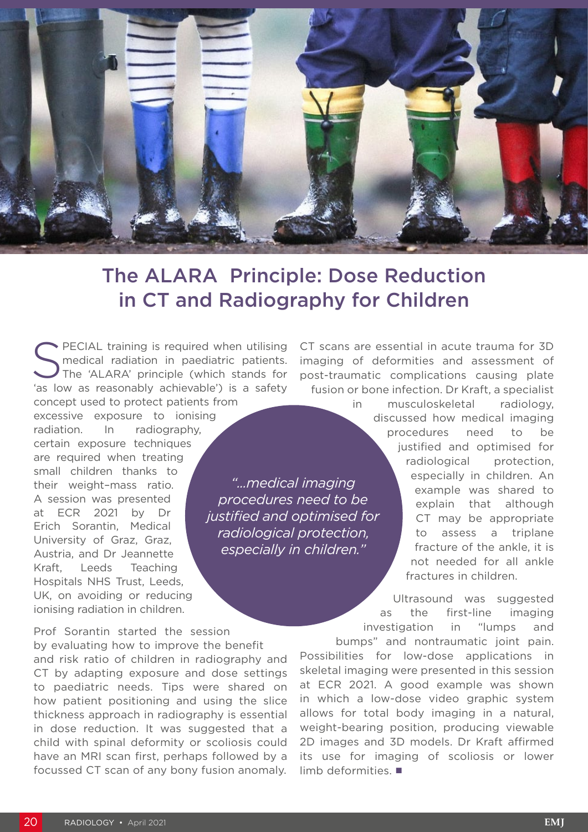

# The ALARA Principle: Dose Reduction in CT and Radiography for Children

*"...medical imaging procedures need to be* 

*radiological protection, especially in children."* 

SPECIAL training is required when utilising<br>
The 'ALARA' principle (which stands for<br>
the law as reasonably askinights') is a sefety. medical radiation in paediatric patients. 'as low as reasonably achievable') is a safety concept used to protect patients from

excessive exposure to ionising radiation. In radiography, certain exposure techniques are required when treating small children thanks to their weight–mass ratio. A session was presented at ECR 2021 by Dr Erich Sorantin, Medical University of Graz, Graz, Austria, and Dr Jeannette Kraft, Leeds Teaching Hospitals NHS Trust, Leeds, UK, on avoiding or reducing ionising radiation in children. *justified and optimised for* 

Prof Sorantin started the session by evaluating how to improve the benefit and risk ratio of children in radiography and CT by adapting exposure and dose settings to paediatric needs. Tips were shared on how patient positioning and using the slice thickness approach in radiography is essential in dose reduction. It was suggested that a child with spinal deformity or scoliosis could have an MRI scan first, perhaps followed by a focussed CT scan of any bony fusion anomaly.

CT scans are essential in acute trauma for 3D imaging of deformities and assessment of post-traumatic complications causing plate fusion or bone infection. Dr Kraft, a specialist

> in musculoskeletal radiology, discussed how medical imaging procedures need to be justified and optimised for radiological protection, especially in children. An example was shared to explain that although CT may be appropriate to assess a triplane fracture of the ankle, it is not needed for all ankle fractures in children.

Ultrasound was suggested as the first-line imaging investigation in "lumps and bumps" and nontraumatic joint pain.

Possibilities for low-dose applications in skeletal imaging were presented in this session at ECR 2021. A good example was shown in which a low-dose video graphic system allows for total body imaging in a natural, weight-bearing position, producing viewable 2D images and 3D models. Dr Kraft affirmed its use for imaging of scoliosis or lower limb deformities. ■